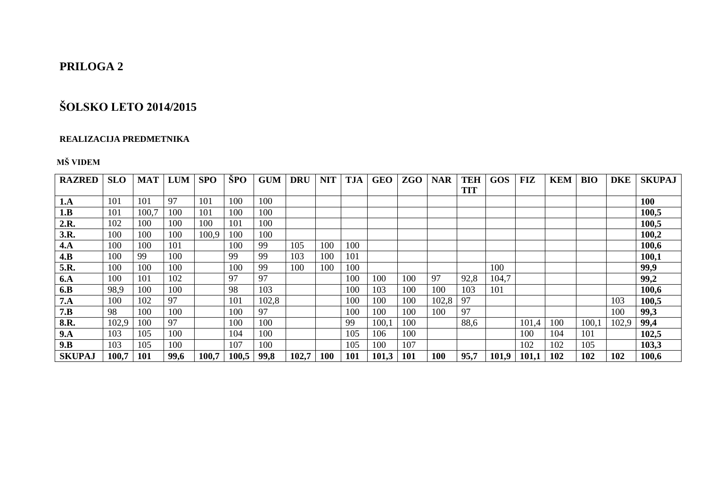## **PRILOGA 2**

# **ŠOLSKO LETO 2014/2015**

#### **REALIZACIJA PREDMETNIKA**

### **MŠ VIDEM**

| <b>RAZRED</b> | <b>SLO</b> | <b>MAT</b> | <b>LUM</b> | <b>SPO</b> | ŠPO   | <b>GUM</b> | <b>DRU</b> | <b>NIT</b> | <b>TJA</b> | <b>GEO</b> | <b>ZGO</b> | <b>NAR</b> | TEH        | <b>GOS</b> | <b>FIZ</b> | <b>KEM</b> | <b>BIO</b> | <b>DKE</b> | <b>SKUPAJ</b> |
|---------------|------------|------------|------------|------------|-------|------------|------------|------------|------------|------------|------------|------------|------------|------------|------------|------------|------------|------------|---------------|
|               |            |            |            |            |       |            |            |            |            |            |            |            | <b>TIT</b> |            |            |            |            |            |               |
| 1.A           | 101        | 101        | 97         | 101        | 100   | 100        |            |            |            |            |            |            |            |            |            |            |            |            | <b>100</b>    |
| 1.B           | 101        | 100.7      | 100        | 101        | 100   | 100        |            |            |            |            |            |            |            |            |            |            |            |            | 100,5         |
| 2.R.          | 102        | 100        | 100        | 100        | 101   | 100        |            |            |            |            |            |            |            |            |            |            |            |            | 100,5         |
| 3.R.          | 100        | 100        | 100        | 100,9      | 100   | 100        |            |            |            |            |            |            |            |            |            |            |            |            | 100,2         |
| 4.A           | 100        | 100        | 101        |            | 100   | 99         | 105        | 100        | 100        |            |            |            |            |            |            |            |            |            | 100,6         |
| 4.B           | 100        | 99         | 100        |            | 99    | 99         | 103        | 100        | 101        |            |            |            |            |            |            |            |            |            | 100,1         |
| 5.R.          | 100        | 100        | 100        |            | 100   | 99         | 100        | 100        | 100        |            |            |            |            | 100        |            |            |            |            | 99,9          |
| <b>6.A</b>    | 100        | 101        | 102        |            | 97    | 97         |            |            | 100        | 100        | 100        | 97         | 92,8       | 104,7      |            |            |            |            | 99,2          |
| 6.B           | 98,9       | 100        | 100        |            | 98    | 103        |            |            | 100        | 103        | 100        | 100        | 103        | 101        |            |            |            |            | 100,6         |
| 7.A           | 100        | 102        | 97         |            | 101   | 102,8      |            |            | 100        | 100        | 100        | 102,8      | 97         |            |            |            |            | 103        | 100,5         |
| 7.B           | 98         | 100        | 100        |            | 100   | 97         |            |            | 100        | 100        | 100        | 100        | 97         |            |            |            |            | 100        | 99,3          |
| 8.R.          | 102,9      | 100        | 97         |            | 100   | 100        |            |            | 99         | 100,1      | 100        |            | 88,6       |            | 101,4      | 100        | 100,       | 102,9      | 99,4          |
| 9.A           | 103        | 105        | 100        |            | 104   | 100        |            |            | 105        | 106        | 100        |            |            |            | 100        | 104        | 101        |            | 102,5         |
| 9.B           | 103        | 105        | 100        |            | 107   | 100        |            |            | 105        | 100        | 107        |            |            |            | 102        | 102        | 105        |            | 103,3         |
| <b>SKUPAJ</b> | 100,7      | 101        | 99,6       | 100,7      | 100,5 | 99,8       | 102,7      | 100        | 101        | 101,3      | 101        | 100        | 95,7       | 101,9      | 101,1      | 102        | 102        | 102        | 100,6         |